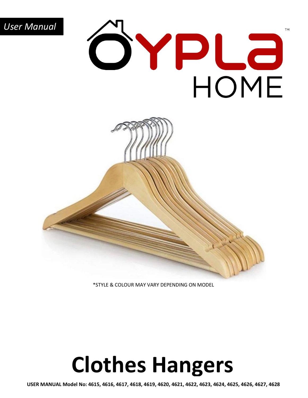

**TM** 

### \*STYLE & COLOUR MAY VARY DEPENDING ON MODEL

## **Clothes Hangers**

**USER MANUAL Model No: 4615, 4616, 4617, 4618, 4619, 4620, 4621, 4622, 4623, 4624, 4625, 4626, 4627, 4628**